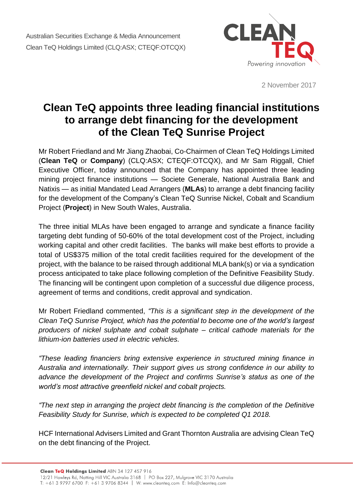

2 November 2017

## **Clean TeQ appoints three leading financial institutions to arrange debt financing for the development of the Clean TeQ Sunrise Project**

Mr Robert Friedland and Mr Jiang Zhaobai, Co-Chairmen of Clean TeQ Holdings Limited (**Clean TeQ** or **Company**) (CLQ:ASX; CTEQF:OTCQX), and Mr Sam Riggall, Chief Executive Officer, today announced that the Company has appointed three leading mining project finance institutions — Societe Generale, National Australia Bank and Natixis — as initial Mandated Lead Arrangers (**MLAs**) to arrange a debt financing facility for the development of the Company's Clean TeQ Sunrise Nickel, Cobalt and Scandium Project (**Project**) in New South Wales, Australia.

The three initial MLAs have been engaged to arrange and syndicate a finance facility targeting debt funding of 50-60% of the total development cost of the Project, including working capital and other credit facilities. The banks will make best efforts to provide a total of US\$375 million of the total credit facilities required for the development of the project, with the balance to be raised through additional MLA bank(s) or via a syndication process anticipated to take place following completion of the Definitive Feasibility Study. The financing will be contingent upon completion of a successful due diligence process, agreement of terms and conditions, credit approval and syndication.

Mr Robert Friedland commented, *"This is a significant step in the development of the Clean TeQ Sunrise Project, which has the potential to become one of the world's largest producers of nickel sulphate and cobalt sulphate – critical cathode materials for the lithium-ion batteries used in electric vehicles.*

*"These leading financiers bring extensive experience in structured mining finance in Australia and internationally. Their support gives us strong confidence in our ability to advance the development of the Project and confirms Sunrise's status as one of the world's most attractive greenfield nickel and cobalt projects.*

*"The next step in arranging the project debt financing is the completion of the Definitive Feasibility Study for Sunrise, which is expected to be completed Q1 2018.*

HCF International Advisers Limited and Grant Thornton Australia are advising Clean TeQ on the debt financing of the Project.